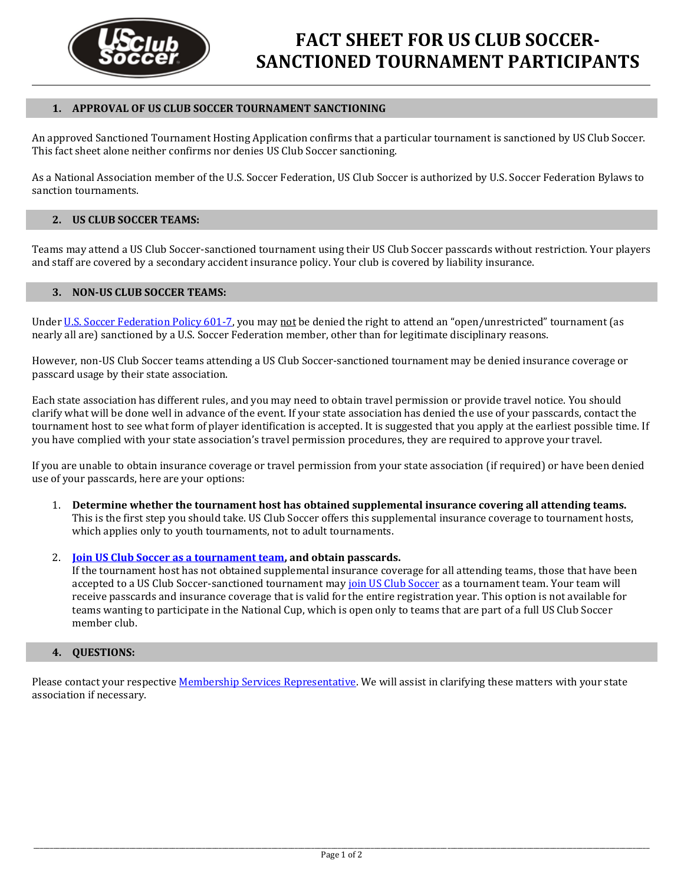

#### **1. APPROVAL OF US CLUB SOCCER TOURNAMENT SANCTIONING**

An approved Sanctioned Tournament Hosting Application confirms that a particular tournament is sanctioned by US Club Soccer. This fact sheet alone neither confirms nor denies US Club Soccer sanctioning.

As a National Association member of the U.S. Soccer Federation, US Club Soccer is authorized by U.S. Soccer Federation Bylaws to sanction tournaments.

### **2. US CLUB SOCCER TEAMS:**

Teams may attend a US Club Soccer-sanctioned tournament using their US Club Soccer passcards without restriction. Your players and staff are covered by a secondary accident insurance policy. Your club is covered by liability insurance.

#### **3. NON-US CLUB SOCCER TEAMS:**

Unde[r U.S. Soccer Federation Policy 601-7,](https://www.usclubsoccer.org/wp-content/uploads/2014/01/U.S.-Soccer-Federation-Policy-601-7-Competition-Participation.pdf) you may not be denied the right to attend an "open/unrestricted" tournament (as nearly all are) sanctioned by a U.S. Soccer Federation member, other than for legitimate disciplinary reasons.

However, non-US Club Soccer teams attending a US Club Soccer-sanctioned tournament may be denied insurance coverage or passcard usage by their state association.

Each state association has different rules, and you may need to obtain travel permission or provide travel notice. You should clarify what will be done well in advance of the event. If your state association has denied the use of your passcards, contact the tournament host to see what form of player identification is accepted. It is suggested that you apply at the earliest possible time. If you have complied with your state association's travel permission procedures, they are required to approve your travel.

If you are unable to obtain insurance coverage or travel permission from your state association (if required) or have been denied use of your passcards, here are your options:

- 1. **Determine whether the tournament host has obtained supplemental insurance covering all attending teams.** This is the first step you should take. US Club Soccer offers this supplemental insurance coverage to tournament hosts, which applies only to youth tournaments, not to adult tournaments.
- 2. **[Join US Club Soccer as a tournament team,](http://www.usclubsoccer.org/resources/becoming-a-member/) and obtain passcards.**

If the tournament host has not obtained supplemental insurance coverage for all attending teams, those that have been accepted to a US Club Soccer-sanctioned tournament may [join US Club Soccer](http://www.usclubsoccer.org/resources/becoming-a-member/) as a tournament team. Your team will receive passcards and insurance coverage that is valid for the entire registration year. This option is not available for teams wanting to participate in the National Cup, which is open only to teams that are part of a full US Club Soccer member club.

### **4. QUESTIONS:**

Please contact your respectiv[e Membership Services Representative.](http://www.usclubsoccer.org/about/staffcontact-us/) We will assist in clarifying these matters with your state association if necessary.